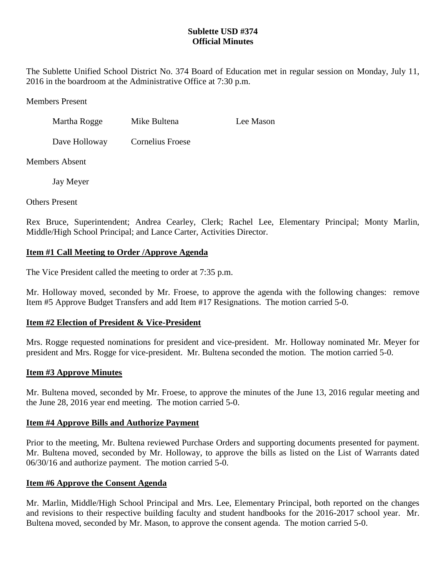## **Sublette USD #374 Official Minutes**

The Sublette Unified School District No. 374 Board of Education met in regular session on Monday, July 11, 2016 in the boardroom at the Administrative Office at 7:30 p.m.

Members Present

| Martha Rogge | Mike Bultena | Lee Mason |
|--------------|--------------|-----------|
|              |              |           |

Dave Holloway Cornelius Froese

Members Absent

Jay Meyer

Others Present

Rex Bruce, Superintendent; Andrea Cearley, Clerk; Rachel Lee, Elementary Principal; Monty Marlin, Middle/High School Principal; and Lance Carter, Activities Director.

## **Item #1 Call Meeting to Order /Approve Agenda**

The Vice President called the meeting to order at 7:35 p.m.

Mr. Holloway moved, seconded by Mr. Froese, to approve the agenda with the following changes: remove Item #5 Approve Budget Transfers and add Item #17 Resignations. The motion carried 5-0.

# **Item #2 Election of President & Vice-President**

Mrs. Rogge requested nominations for president and vice-president. Mr. Holloway nominated Mr. Meyer for president and Mrs. Rogge for vice-president. Mr. Bultena seconded the motion. The motion carried 5-0.

## **Item #3 Approve Minutes**

Mr. Bultena moved, seconded by Mr. Froese, to approve the minutes of the June 13, 2016 regular meeting and the June 28, 2016 year end meeting. The motion carried 5-0.

## **Item #4 Approve Bills and Authorize Payment**

Prior to the meeting, Mr. Bultena reviewed Purchase Orders and supporting documents presented for payment. Mr. Bultena moved, seconded by Mr. Holloway, to approve the bills as listed on the List of Warrants dated 06/30/16 and authorize payment. The motion carried 5-0.

## **Item #6 Approve the Consent Agenda**

Mr. Marlin, Middle/High School Principal and Mrs. Lee, Elementary Principal, both reported on the changes and revisions to their respective building faculty and student handbooks for the 2016-2017 school year. Mr. Bultena moved, seconded by Mr. Mason, to approve the consent agenda. The motion carried 5-0.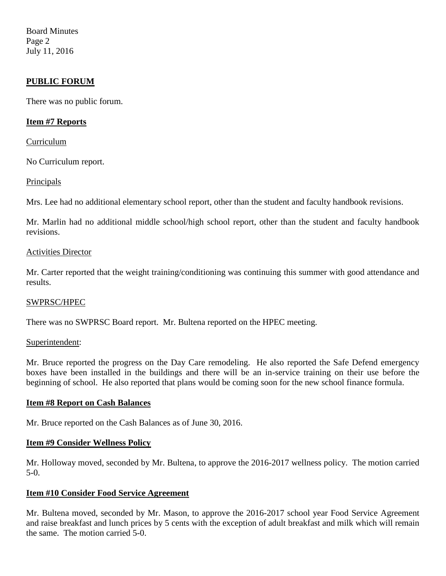Board Minutes Page 2 July 11, 2016

### **PUBLIC FORUM**

There was no public forum.

### **Item #7 Reports**

### Curriculum

No Curriculum report.

Principals

Mrs. Lee had no additional elementary school report, other than the student and faculty handbook revisions.

Mr. Marlin had no additional middle school/high school report, other than the student and faculty handbook revisions.

### Activities Director

Mr. Carter reported that the weight training/conditioning was continuing this summer with good attendance and results.

#### SWPRSC/HPEC

There was no SWPRSC Board report. Mr. Bultena reported on the HPEC meeting.

#### Superintendent:

Mr. Bruce reported the progress on the Day Care remodeling. He also reported the Safe Defend emergency boxes have been installed in the buildings and there will be an in-service training on their use before the beginning of school. He also reported that plans would be coming soon for the new school finance formula.

#### **Item #8 Report on Cash Balances**

Mr. Bruce reported on the Cash Balances as of June 30, 2016.

### **Item #9 Consider Wellness Policy**

Mr. Holloway moved, seconded by Mr. Bultena, to approve the 2016-2017 wellness policy. The motion carried 5-0.

### **Item #10 Consider Food Service Agreement**

Mr. Bultena moved, seconded by Mr. Mason, to approve the 2016-2017 school year Food Service Agreement and raise breakfast and lunch prices by 5 cents with the exception of adult breakfast and milk which will remain the same. The motion carried 5-0.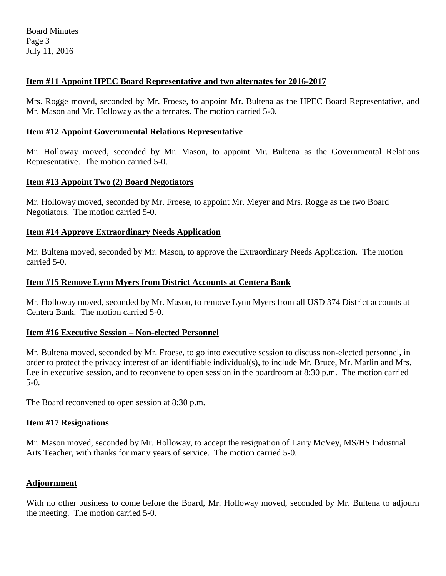## **Item #11 Appoint HPEC Board Representative and two alternates for 2016-2017**

Mrs. Rogge moved, seconded by Mr. Froese, to appoint Mr. Bultena as the HPEC Board Representative, and Mr. Mason and Mr. Holloway as the alternates. The motion carried 5-0.

## **Item #12 Appoint Governmental Relations Representative**

Mr. Holloway moved, seconded by Mr. Mason, to appoint Mr. Bultena as the Governmental Relations Representative. The motion carried 5-0.

## **Item #13 Appoint Two (2) Board Negotiators**

Mr. Holloway moved, seconded by Mr. Froese, to appoint Mr. Meyer and Mrs. Rogge as the two Board Negotiators. The motion carried 5-0.

## **Item #14 Approve Extraordinary Needs Application**

Mr. Bultena moved, seconded by Mr. Mason, to approve the Extraordinary Needs Application. The motion carried 5-0.

## **Item #15 Remove Lynn Myers from District Accounts at Centera Bank**

Mr. Holloway moved, seconded by Mr. Mason, to remove Lynn Myers from all USD 374 District accounts at Centera Bank. The motion carried 5-0.

## **Item #16 Executive Session – Non-elected Personnel**

Mr. Bultena moved, seconded by Mr. Froese, to go into executive session to discuss non-elected personnel, in order to protect the privacy interest of an identifiable individual(s), to include Mr. Bruce, Mr. Marlin and Mrs. Lee in executive session, and to reconvene to open session in the boardroom at 8:30 p.m. The motion carried 5-0.

The Board reconvened to open session at 8:30 p.m.

# **Item #17 Resignations**

Mr. Mason moved, seconded by Mr. Holloway, to accept the resignation of Larry McVey, MS/HS Industrial Arts Teacher, with thanks for many years of service. The motion carried 5-0.

# **Adjournment**

With no other business to come before the Board, Mr. Holloway moved, seconded by Mr. Bultena to adjourn the meeting. The motion carried 5-0.